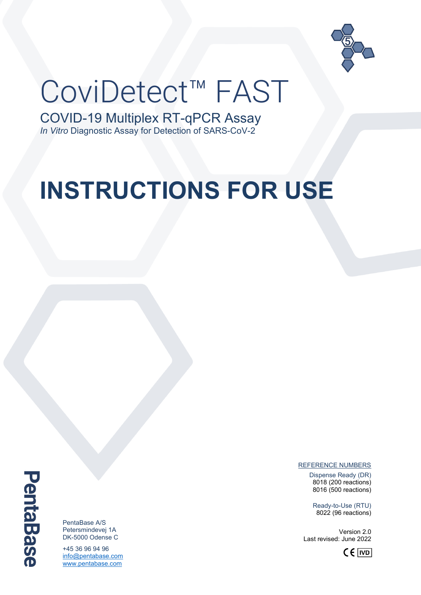

# CoviDetect™ FAST

COVID-19 Multiplex RT-qPCR Assay *In Vitro* Diagnostic Assay for Detection of SARS-CoV-2

## **INSTRUCTIONS FOR USE**

**PentaBase** 

PentaBase A/S Petersmindevej 1A DK-5000 Odense C

+45 36 96 94 96 [info@pentabase.com](mailto:info@pentabase.com) [www.pentabase.com](http://www.pentabase.com/)

REFERENCE NUMBERS

Dispense Ready (DR) 8018 (200 reactions) 8016 (500 reactions)

Ready-to-Use (RTU) 8022 (96 reactions)

Version 2.0 Last revised: June 2022

 $C \in |VD|$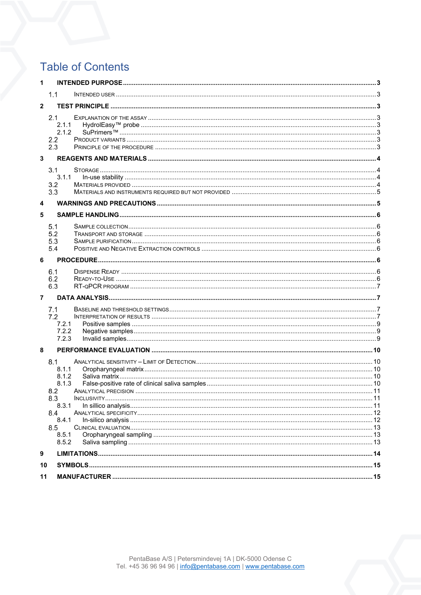## **Table of Contents**

| 1              |                                                                                                |  |  |  |  |  |
|----------------|------------------------------------------------------------------------------------------------|--|--|--|--|--|
|                | 1.1                                                                                            |  |  |  |  |  |
| $\overline{2}$ |                                                                                                |  |  |  |  |  |
|                | 2.1<br>2.1.1<br>2.1.2<br>2.2<br>2.3                                                            |  |  |  |  |  |
| $\mathbf{3}$   |                                                                                                |  |  |  |  |  |
|                | 3.1<br>3.1.1<br>3.2<br>3.3                                                                     |  |  |  |  |  |
| 4              |                                                                                                |  |  |  |  |  |
| 5              |                                                                                                |  |  |  |  |  |
|                | 5.1<br>5.2<br>5.3<br>5.4                                                                       |  |  |  |  |  |
| 6              |                                                                                                |  |  |  |  |  |
|                | 6.1<br>6.2<br>6.3                                                                              |  |  |  |  |  |
| 7              |                                                                                                |  |  |  |  |  |
|                | 7.1<br>7.2<br>7.2.1<br>7.2.2<br>7.2.3                                                          |  |  |  |  |  |
| 8              |                                                                                                |  |  |  |  |  |
|                | 8.1<br>8.1.1<br>8.1.2<br>8.1.3<br>8.2<br>8.3<br>8.3.1<br>8.4<br>8.4.1<br>8.5<br>8.5.1<br>8.5.2 |  |  |  |  |  |
| 9              |                                                                                                |  |  |  |  |  |
| 10             |                                                                                                |  |  |  |  |  |
| 11             |                                                                                                |  |  |  |  |  |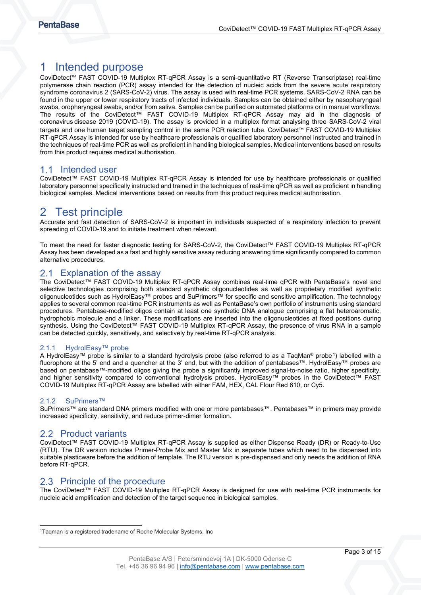## <span id="page-2-0"></span>1 Intended purpose

CoviDetect™ FAST COVID-19 Multiplex RT-qPCR Assay is a semi-quantitative RT (Reverse Transcriptase) real-time polymerase chain reaction (PCR) assay intended for the detection of nucleic acids from the severe acute respiratory syndrome coronavirus 2 (SARS-CoV-2) virus. The assay is used with real-time PCR systems. SARS-CoV-2 RNA can be found in the upper or lower respiratory tracts of infected individuals. Samples can be obtained either by nasopharyngeal swabs, oropharyngeal swabs, and/or from saliva. Samples can be purified on automated platforms or in manual workflows. The results of the CoviDetect™ FAST COVID-19 Multiplex RT-qPCR Assay may aid in the diagnosis of [coronavirus](https://da.wikipedia.org/wiki/Coronavirus%22%20/o%20%22Coronavirus) disease 2019 (COVID-19). The assay is provided in a multiplex format analysing three SARS-CoV-2 viral targets and one human target sampling control in the same PCR reaction tube. CoviDetect™ FAST COVID-19 Multiplex RT-qPCR Assay is intended for use by healthcare professionals or qualified laboratory personnel instructed and trained in the techniques of real-time PCR as well as proficient in handling biological samples. Medical interventions based on results from this product requires medical authorisation.

## <span id="page-2-1"></span>1.1 Intended user

CoviDetect™ FAST COVID-19 Multiplex RT-qPCR Assay is intended for use by healthcare professionals or qualified laboratory personnel specifically instructed and trained in the techniques of real-time qPCR as well as proficient in handling biological samples. Medical interventions based on results from this product requires medical authorisation.

## <span id="page-2-2"></span>2 Test principle

Accurate and fast detection of SARS-CoV-2 is important in individuals suspected of a respiratory infection to prevent spreading of COVID-19 and to initiate treatment when relevant.

To meet the need for faster diagnostic testing for SARS-CoV-2, the CoviDetect™ FAST COVID-19 Multiplex RT-qPCR Assay has been developed as a fast and highly sensitive assay reducing answering time significantly compared to common alternative procedures.

## <span id="page-2-3"></span>2.1 Explanation of the assay

The CoviDetect™ FAST COVID-19 Multiplex RT-qPCR Assay combines real-time qPCR with PentaBase's novel and selective technologies comprising both standard synthetic oligonucleotides as well as proprietary modified synthetic oligonucleotides such as HydrolEasy™ probes and SuPrimers™ for specific and sensitive amplification. The technology applies to several common real-time PCR instruments as well as PentaBase's own portfolio of instruments using standard procedures. Pentabase-modified oligos contain at least one synthetic DNA analogue comprising a flat heteroaromatic, hydrophobic molecule and a linker. These modifications are inserted into the oligonucleotides at fixed positions during synthesis. Using the CoviDetect™ FAST COVID-19 Multiplex RT-qPCR Assay, the presence of virus RNA in a sample can be detected quickly, sensitively, and selectively by real-time RT-qPCR analysis.

#### <span id="page-2-4"></span>2.1.1 HydrolEasy™ probe

A HydrolEasy™ probe is similar to a standard hydrolysis probe (also referred to as a TaqMan® probe<sup>1</sup>) labelled with a fluorophore at the 5' end and a quencher at the 3' end, but with the addition of pentabases™. HydrolEasy™ probes are based on pentabase™-modified oligos giving the probe a significantly improved signal-to-noise ratio, higher specificity, and higher sensitivity compared to conventional hydrolysis probes. HydrolEasy™ probes in the CoviDetect™ FAST COVID-19 Multiplex RT-qPCR Assay are labelled with either FAM, HEX, CAL Flour Red 610, or Cy5.

#### <span id="page-2-5"></span>2.1.2 SuPrimers™

SuPrimers™ are standard DNA primers modified with one or more pentabases™. Pentabases™ in primers may provide increased specificity, sensitivity, and reduce primer-dimer formation.

## <span id="page-2-6"></span>2.2 Product variants

CoviDetect™ FAST COVID-19 Multiplex RT-qPCR Assay is supplied as either Dispense Ready (DR) or Ready-to-Use (RTU). The DR version includes Primer-Probe Mix and Master Mix in separate tubes which need to be dispensed into suitable plasticware before the addition of template. The RTU version is pre-dispensed and only needs the addition of RNA before RT-qPCR.

## <span id="page-2-7"></span>2.3 Principle of the procedure

The CoviDetect™ FAST COVID-19 Multiplex RT-qPCR Assay is designed for use with real-time PCR instruments for nucleic acid amplification and detection of the target sequence in biological samples.

<span id="page-2-8"></span><sup>&</sup>lt;sup>1</sup>Taqman is a registered tradename of Roche Molecular Systems, Inc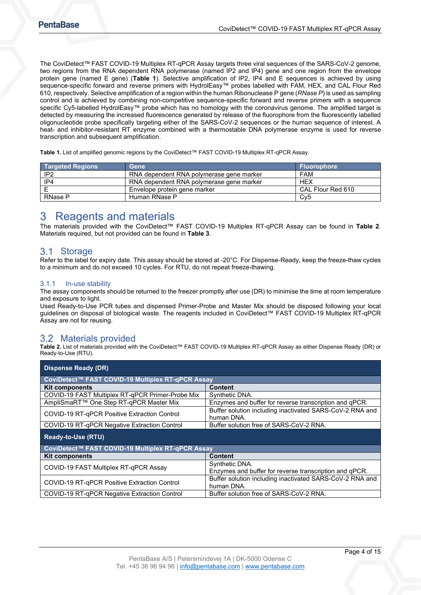The CoviDetect™ FAST COVID-19 Multiplex RT-qPCR Assay targets three viral sequences of the SARS-CoV-2 genome, two regions from the RNA dependent RNA polymerase (named IP2 and IP4) gene and one region from the envelope protein gene (named E gene) ([Table 1](#page-3-4)). Selective amplification of IP2, IP4 and E sequences is achieved by using sequence-specific forward and reverse primers with HydrolEasy™ probes labelled with FAM, HEX, and CAL Flour Red 610, respectively. Selective amplification of a region within the human Ribonuclease P gene (*RNase P*) is used as sampling control and is achieved by combining non-competitive sequence-specific forward and reverse primers with a sequence specific Cy5-labelled HydrolEasy™ probe which has no homology with the coronavirus genome. The amplified target is detected by measuring the increased fluorescence generated by release of the fluorophore from the fluorescently labelled oligonucleotide probe specifically targeting either of the SARS-CoV-2 sequences or the human sequence of interest. A heat- and inhibitor-resistant RT enzyme combined with a thermostable DNA polymerase enzyme is used for reverse transcription and subsequent amplification.

<span id="page-3-4"></span>**Table 1.** List of amplified genomic regions by the CoviDetect™ FAST COVID-19 Multiplex RT-qPCR Assay.

| <b>Targeted Regions</b> | <b>Gene</b>                              | <b>Fluorophore</b> |
|-------------------------|------------------------------------------|--------------------|
| IP2                     | RNA dependent RNA polymerase gene marker | <b>FAM</b>         |
| IP4                     | RNA dependent RNA polymerase gene marker | <b>HEX</b>         |
|                         | Envelope protein gene marker             | CAL Flour Red 610  |
| RNase P                 | Human RNase P                            | Cv5                |

## <span id="page-3-0"></span>3 Reagents and materials

The materials provided with the CoviDetect™ FAST COVID-19 Multiplex RT-qPCR Assay can be found in **[Table 2](#page-3-5)**. Materials required, but not provided can be found in **[Table 3](#page-4-2)**.

## <span id="page-3-1"></span>3.1 Storage

Refer to the label for expiry date. This assay should be stored at -20°C. For Dispense-Ready, keep the freeze-thaw cycles to a minimum and do not exceed 10 cycles. For RTU, do not repeat freeze-thawing.

#### <span id="page-3-2"></span>3.1.1 In-use stability

The assay components should be returned to the freezer promptly after use (DR) to minimise the time at room temperature and exposure to light.

Used Ready-to-Use PCR tubes and dispensed Primer-Probe and Master Mix should be disposed following your local guidelines on disposal of biological waste. The reagents included in CoviDetect™ FAST COVID-19 Multiplex RT-qPCR Assay are not for reusing.

## <span id="page-3-3"></span>3.2 Materials provided

<span id="page-3-5"></span>**Table 2.** List of materials provided with the CoviDetect™ FAST COVID-19 Multiplex RT-qPCR Assay as either Dispense Ready (DR) or Ready-to-Use (RTU).

| <b>Dispense Ready (DR)</b>                        |                                                                        |  |  |
|---------------------------------------------------|------------------------------------------------------------------------|--|--|
| CoviDetect™ FAST COVID-19 Multiplex RT-qPCR Assay |                                                                        |  |  |
| <b>Kit components</b>                             | <b>Content</b>                                                         |  |  |
| COVID-19 FAST Multiplex RT-qPCR Primer-Probe Mix  | Synthetic DNA.                                                         |  |  |
| AmpliSmaRT™ One Step RT-qPCR Master Mix           | Enzymes and buffer for reverse transcription and qPCR.                 |  |  |
| COVID-19 RT-gPCR Positive Extraction Control      | Buffer solution including inactivated SARS-CoV-2 RNA and<br>human DNA. |  |  |
| COVID-19 RT-gPCR Negative Extraction Control      | Buffer solution free of SARS-CoV-2 RNA.                                |  |  |
| <b>Ready-to-Use (RTU)</b>                         |                                                                        |  |  |
|                                                   |                                                                        |  |  |
| CoviDetect™ FAST COVID-19 Multiplex RT-qPCR Assay |                                                                        |  |  |
| <b>Kit components</b>                             | <b>Content</b>                                                         |  |  |
|                                                   | Synthetic DNA.                                                         |  |  |
| COVID-19 FAST Multiplex RT-qPCR Assay             | Enzymes and buffer for reverse transcription and gPCR.                 |  |  |
| COVID-19 RT-gPCR Positive Extraction Control      | Buffer solution including inactivated SARS-CoV-2 RNA and<br>human DNA. |  |  |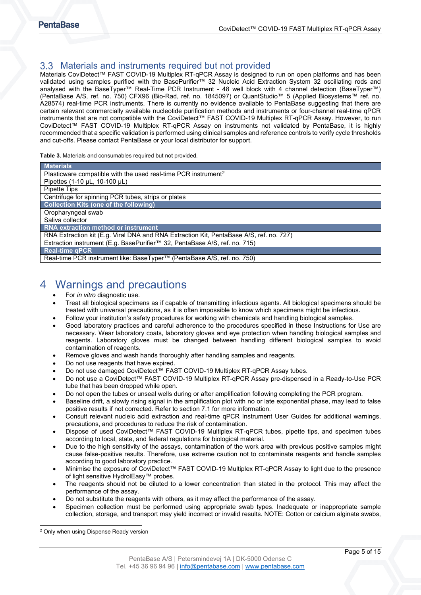## <span id="page-4-0"></span>3.3 Materials and instruments required but not provided

Materials CoviDetect™ FAST COVID-19 Multiplex RT-qPCR Assay is designed to run on open platforms and has been validated using samples purified with the BasePurifier™ 32 Nucleic Acid Extraction System 32 oscillating rods and analysed with the BaseTyper™ Real-Time PCR Instrument - 48 well block with 4 channel detection (BaseTyper™) (PentaBase A/S, ref. no. 750) CFX96 (Bio-Rad, ref. no. 1845097) or QuantStudio™ 5 (Applied Biosystems™ ref. no. A28574) real-time PCR instruments. There is currently no evidence available to PentaBase suggesting that there are certain relevant commercially available nucleotide purification methods and instruments or four-channel real-time qPCR instruments that are not compatible with the CoviDetect™ FAST COVID-19 Multiplex RT-qPCR Assay. However, to run CoviDetect™ FAST COVID-19 Multiplex RT-qPCR Assay on instruments not validated by PentaBase, it is highly recommended that a specific validation is performed using clinical samples and reference controls to verify cycle thresholds and cut-offs. Please contact PentaBase or your local distributor for support.

#### <span id="page-4-2"></span>**Table 3.** Materials and consumables required but not provided.

| <b>Materials</b>                                                                        |  |  |  |
|-----------------------------------------------------------------------------------------|--|--|--|
| Plasticware compatible with the used real-time PCR instrument <sup>2</sup>              |  |  |  |
| Pipettes (1-10 µL, 10-100 µL)                                                           |  |  |  |
| Pipette Tips                                                                            |  |  |  |
| Centrifuge for spinning PCR tubes, strips or plates                                     |  |  |  |
| <b>Collection Kits (one of the following)</b>                                           |  |  |  |
| Oropharyngeal swab                                                                      |  |  |  |
| Saliva collector                                                                        |  |  |  |
| <b>RNA extraction method or instrument</b>                                              |  |  |  |
| RNA Extraction kit (E.g. Viral DNA and RNA Extraction Kit, PentaBase A/S, ref. no. 727) |  |  |  |
| Extraction instrument (E.g. BasePurifier™ 32, PentaBase A/S, ref. no. 715)              |  |  |  |
| <b>Real-time qPCR</b>                                                                   |  |  |  |
| Real-time PCR instrument like: BaseTyper™ (PentaBase A/S, ref. no. 750)                 |  |  |  |

## <span id="page-4-1"></span>4 Warnings and precautions

- For *in vitro* diagnostic use.
- Treat all biological specimens as if capable of transmitting infectious agents. All biological specimens should be treated with universal precautions, as it is often impossible to know which specimens might be infectious.
- Follow your institution's safety procedures for working with chemicals and handling biological samples.
- Good laboratory practices and careful adherence to the procedures specified in these Instructions for Use are necessary. Wear laboratory coats, laboratory gloves and eye protection when handling biological samples and reagents. Laboratory gloves must be changed between handling different biological samples to avoid contamination of reagents.
- Remove gloves and wash hands thoroughly after handling samples and reagents.
- Do not use reagents that have expired.
- Do not use damaged CoviDetect™ FAST COVID-19 Multiplex RT-qPCR Assay tubes.
- Do not use a CoviDetect™ FAST COVID-19 Multiplex RT-qPCR Assay pre-dispensed in a Ready-to-Use PCR tube that has been dropped while open.
- Do not open the tubes or unseal wells during or after amplification following completing the PCR program.
- Baseline drift, a slowly rising signal in the amplification plot with no or late exponential phase, may lead to false positive results if not corrected. Refer to section 7.1 for more information.
- Consult relevant nucleic acid extraction and real-time qPCR Instrument User Guides for additional warnings, precautions, and procedures to reduce the risk of contamination.
- Dispose of used CoviDetect™ FAST COVID-19 Multiplex RT-qPCR tubes, pipette tips, and specimen tubes according to local, state, and federal regulations for biological material.
- Due to the high sensitivity of the assays, contamination of the work area with previous positive samples might cause false-positive results. Therefore, use extreme caution not to contaminate reagents and handle samples according to good laboratory practice.
- Minimise the exposure of CoviDetect™ FAST COVID-19 Multiplex RT-qPCR Assay to light due to the presence of light sensitive HydrolEasy™ probes.
- The reagents should not be diluted to a lower concentration than stated in the protocol. This may affect the performance of the assay.
- Do not substitute the reagents with others, as it may affect the performance of the assay.
- Specimen collection must be performed using appropriate swab types. Inadequate or inappropriate sample collection, storage, and transport may yield incorrect or invalid results. NOTE: Cotton or calcium alginate swabs,

<span id="page-4-3"></span><sup>2</sup> Only when using Dispense Ready version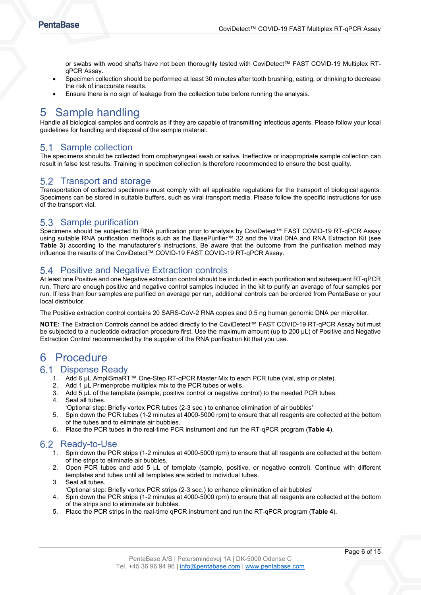or swabs with wood shafts have not been thoroughly tested with CoviDetect™ FAST COVID-19 Multiplex RTqPCR Assay.

- Specimen collection should be performed at least 30 minutes after tooth brushing, eating, or drinking to decrease the risk of inaccurate results.
- Ensure there is no sign of leakage from the collection tube before running the analysis.

## <span id="page-5-0"></span>5 Sample handling

Handle all biological samples and controls as if they are capable of transmitting infectious agents. Please follow your local guidelines for handling and disposal of the sample material.

## <span id="page-5-1"></span>Sample collection

The specimens should be collected from oropharyngeal swab or saliva. Ineffective or inappropriate sample collection can result in false test results. Training in specimen collection is therefore recommended to ensure the best quality.

## <span id="page-5-2"></span>5.2 Transport and storage

Transportation of collected specimens must comply with all applicable regulations for the transport of biological agents. Specimens can be stored in suitable buffers, such as viral transport media. Please follow the specific instructions for use of the transport vial.

## <span id="page-5-3"></span>5.3 Sample purification

Specimens should be subjected to RNA purification prior to analysis by CoviDetect™ FAST COVID-19 RT-qPCR Assay using suitable RNA purification methods such as the BasePurifier™ 32 and the Viral DNA and RNA Extraction Kit (see **[Table 3](#page-4-2)**) according to the manufacturer's instructions. Be aware that the outcome from the purification method may influence the results of the CoviDetect™ COVID-19 FAST COVID-19 RT-qPCR Assay.

## <span id="page-5-4"></span>5.4 Positive and Negative Extraction controls

At least one Positive and one Negative extraction control should be included in each purification and subsequent RT-qPCR run. There are enough positive and negative control samples included in the kit to purify an average of four samples per run. If less than four samples are purified on average per run, additional controls can be ordered from PentaBase or your local distributor.

The Positive extraction control contains 20 SARS-CoV-2 RNA copies and 0.5 ng human genomic DNA per microliter.

**NOTE:** The Extraction Controls cannot be added directly to the CoviDetect™ FAST COVID-19 RT-qPCR Assay but must be subjected to a nucleotide extraction procedure first. Use the maximum amount (up to 200 µL) of Positive and Negative Extraction Control recommended by the supplier of the RNA purification kit that you use.

## <span id="page-5-5"></span>6 Procedure

### <span id="page-5-6"></span>6.1 Dispense Ready

- 1. Add 6 µL AmpliSmaRT™ One-Step RT-qPCR Master Mix to each PCR tube (vial, strip or plate).
- 2. Add 1 µL Primer/probe multiplex mix to the PCR tubes or wells.<br>3. Add 5 µL of the template (sample, positive control or negative c
- 3. Add 5 µL of the template (sample, positive control or negative control) to the needed PCR tubes.<br>4. Seal all tubes
- Seal all tubes.
- 'Optional step: Briefly vortex PCR tubes (2-3 sec.) to enhance elimination of air bubbles'
- 5. Spin down the PCR tubes (1-2 minutes at 4000-5000 rpm) to ensure that all reagents are collected at the bottom of the tubes and to eliminate air bubbles.
- 6. Place the PCR tubes in the real-time PCR instrument and run the RT-qPCR program (**[Table 4](#page-6-4)**).

## <span id="page-5-7"></span>6.2 Ready-to-Use

- 1. Spin down the PCR strips (1-2 minutes at 4000-5000 rpm) to ensure that all reagents are collected at the bottom of the strips to eliminate air bubbles.
- 2. Open PCR tubes and add 5 µL of template (sample, positive, or negative control). Continue with different templates and tubes until all templates are added to individual tubes.
- 3. Seal all tubes.
- 'Optional step: Briefly vortex PCR strips (2-3 sec.) to enhance elimination of air bubbles'
- 4. Spin down the PCR strips (1-2 minutes at 4000-5000 rpm) to ensure that all reagents are collected at the bottom of the strips and to eliminate air bubbles.
- 5. Place the PCR strips in the real-time qPCR instrument and run the RT-qPCR program (**[Table 4](#page-6-4)**).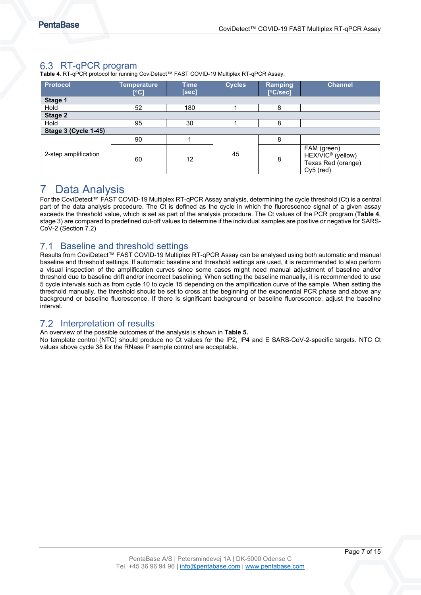## <span id="page-6-0"></span>6.3 RT-qPCR program

<span id="page-6-4"></span>**Table 4**. RT-qPCR protocol for running CoviDetect™ FAST COVID-19 Multiplex RT-qPCR Assay.

| <b>Protocol</b>             | <b>Temperature</b><br>[°C] | <b>Time</b><br>[sec] | <b>Cycles</b> | Ramping<br>[°C/sec] | <b>Channel</b>                                                                  |
|-----------------------------|----------------------------|----------------------|---------------|---------------------|---------------------------------------------------------------------------------|
| Stage 1                     |                            |                      |               |                     |                                                                                 |
| Hold                        | 52                         | 180                  |               | 8                   |                                                                                 |
| Stage 2                     |                            |                      |               |                     |                                                                                 |
| Hold                        | 95                         | 30                   |               | 8                   |                                                                                 |
| <b>Stage 3 (Cycle 1-45)</b> |                            |                      |               |                     |                                                                                 |
|                             | 90                         |                      |               | 8                   |                                                                                 |
| 2-step amplification        | 60                         | 12                   | 45            | 8                   | FAM (green)<br>HEX/VIC <sup>®</sup> (yellow)<br>Texas Red (orange)<br>Cy5 (red) |

## <span id="page-6-1"></span>7 Data Analysis

For the CoviDetect™ FAST COVID-19 Multiplex RT-qPCR Assay analysis, determining the cycle threshold (Ct) is a central part of the data analysis procedure. The Ct is defined as the cycle in which the fluorescence signal of a given assay exceeds the threshold value, which is set as part of the analysis procedure. The Ct values of the PCR program (**[Table 4](#page-6-4)**, stage 3) are compared to predefined cut-off values to determine if the individual samples are positive or negative for SARS-CoV-2 (Section [7.2\)](#page-6-3)

#### <span id="page-6-2"></span> $7.1$ Baseline and threshold settings

Results from CoviDetect™ FAST COVID-19 Multiplex RT-qPCR Assay can be analysed using both automatic and manual baseline and threshold settings. If automatic baseline and threshold settings are used, it is recommended to also perform a visual inspection of the amplification curves since some cases might need manual adjustment of baseline and/or threshold due to baseline drift and/or incorrect baselining. When setting the baseline manually, it is recommended to use 5 cycle intervals such as from cycle 10 to cycle 15 depending on the amplification curve of the sample. When setting the threshold manually, the threshold should be set to cross at the beginning of the exponential PCR phase and above any background or baseline fluorescence. If there is significant background or baseline fluorescence, adjust the baseline interval.

## <span id="page-6-3"></span>7.2 Interpretation of results

An overview of the possible outcomes of the analysis is shown in **[Table 5.](#page-6-5)**

<span id="page-6-5"></span>No template control (NTC) should produce no Ct values for the IP2, IP4 and E SARS-CoV-2-specific targets. NTC Ct values above cycle 38 for the RNase P sample control are acceptable.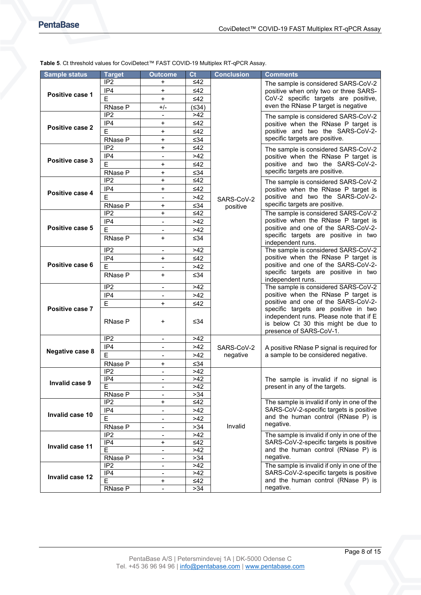| <b>Sample status</b>   | <b>Target</b>           | <b>Outcome</b>               | C <sub>t</sub> | <b>Conclusion</b> | <b>Comments</b>                                                                                                                                                                                                                             |  |
|------------------------|-------------------------|------------------------------|----------------|-------------------|---------------------------------------------------------------------------------------------------------------------------------------------------------------------------------------------------------------------------------------------|--|
|                        | IP <sub>2</sub>         | +                            | ≤42            |                   | The sample is considered SARS-CoV-2                                                                                                                                                                                                         |  |
|                        | IP4                     | $+$                          | $\leq 42$      |                   | positive when only two or three SARS-                                                                                                                                                                                                       |  |
| Positive case 1        | E                       | $\ddot{}$                    | ≤42            |                   | CoV-2 specific targets are positive,                                                                                                                                                                                                        |  |
|                        | RNase P                 | $+/-$                        | (≤34)          |                   | even the RNase P target is negative                                                                                                                                                                                                         |  |
|                        | IP2                     | $\blacksquare$               | >42            |                   | The sample is considered SARS-CoV-2                                                                                                                                                                                                         |  |
|                        | IP4                     | +                            | $\leq 42$      |                   | positive when the RNase P target is                                                                                                                                                                                                         |  |
| Positive case 2        | $\overline{E}$          | $\ddot{}$                    | ≤42            |                   | positive and two the SARS-CoV-2-                                                                                                                                                                                                            |  |
|                        | RNase P                 | $\ddot{}$                    | ≤34            |                   | specific targets are positive.                                                                                                                                                                                                              |  |
|                        | IP <sub>2</sub>         | +                            | $\leq$ 42      |                   | The sample is considered SARS-CoV-2                                                                                                                                                                                                         |  |
|                        | IP4                     | $\qquad \qquad \blacksquare$ | >42            |                   | positive when the RNase P target is                                                                                                                                                                                                         |  |
| Positive case 3        | E                       | +                            | ≤42            |                   | positive and two the SARS-CoV-2-                                                                                                                                                                                                            |  |
|                        | RNase P                 | $\ddot{}$                    | ≤34            |                   | specific targets are positive.                                                                                                                                                                                                              |  |
|                        | IP <sub>2</sub>         | $\ddot{}$                    | $\leq 42$      |                   | The sample is considered SARS-CoV-2                                                                                                                                                                                                         |  |
|                        | IP4                     | $\ddot{}$                    | $\leq 42$      |                   | positive when the RNase P target is                                                                                                                                                                                                         |  |
| Positive case 4        | $\overline{\mathsf{E}}$ | $\overline{\phantom{a}}$     | $>42$          | SARS-CoV-2        | positive and two the SARS-CoV-2-                                                                                                                                                                                                            |  |
|                        | <b>RNase P</b>          | +                            | ≤34            | positive          | specific targets are positive.                                                                                                                                                                                                              |  |
|                        | $\overline{IP2}$        | $\ddot{}$                    | $\leq 42$      |                   | The sample is considered SARS-CoV-2                                                                                                                                                                                                         |  |
|                        | IP4                     |                              | >42            |                   | positive when the RNase P target is                                                                                                                                                                                                         |  |
| Positive case 5        | E                       |                              | $>42$          |                   | positive and one of the SARS-CoV-2-                                                                                                                                                                                                         |  |
|                        | <b>RNase P</b>          | $\ddot{}$                    | ≤34            |                   | specific targets are positive in two<br>independent runs.<br>The sample is considered SARS-CoV-2<br>positive when the RNase P target is<br>positive and one of the SARS-CoV-2-<br>specific targets are positive in two<br>independent runs. |  |
|                        |                         |                              |                |                   |                                                                                                                                                                                                                                             |  |
|                        | IP <sub>2</sub>         | $\blacksquare$               | $>42$          |                   |                                                                                                                                                                                                                                             |  |
| Positive case 6        | IP4                     | $\ddot{}$                    | $\leq 42$      |                   |                                                                                                                                                                                                                                             |  |
|                        | E                       | $\blacksquare$               | >42            |                   |                                                                                                                                                                                                                                             |  |
|                        | RNase P                 | $\ddot{}$                    | ≤34            |                   |                                                                                                                                                                                                                                             |  |
|                        | IP <sub>2</sub>         | $\qquad \qquad \blacksquare$ | >42            |                   | The sample is considered SARS-CoV-2                                                                                                                                                                                                         |  |
|                        | IP4                     | $\overline{\phantom{0}}$     | >42            |                   | positive when the RNase P target is                                                                                                                                                                                                         |  |
|                        | E                       | $\ddot{}$                    | ≤42            |                   | positive and one of the SARS-CoV-2-                                                                                                                                                                                                         |  |
| Positive case 7        |                         |                              |                |                   | specific targets are positive in two                                                                                                                                                                                                        |  |
|                        | RNase P                 | +                            | ≤34            |                   | independent runs. Please note that if E<br>is below Ct 30 this might be due to<br>presence of SARS-CoV-1.                                                                                                                                   |  |
|                        |                         |                              |                |                   |                                                                                                                                                                                                                                             |  |
|                        | IP <sub>2</sub>         | $\blacksquare$               | >42            |                   |                                                                                                                                                                                                                                             |  |
|                        | IP4                     | $\qquad \qquad \blacksquare$ | >42            | SARS-CoV-2        |                                                                                                                                                                                                                                             |  |
| <b>Negative case 8</b> | E                       | $\qquad \qquad \blacksquare$ | >42            | negative          | A positive RNase P signal is required for<br>a sample to be considered negative.                                                                                                                                                            |  |
|                        | RNase P                 | +                            | ≤34            |                   |                                                                                                                                                                                                                                             |  |
|                        | IP2                     | $\blacksquare$               | $>42$          |                   |                                                                                                                                                                                                                                             |  |
|                        | IP4                     | $\overline{\phantom{a}}$     | >42            |                   | The sample is invalid if no signal is                                                                                                                                                                                                       |  |
| Invalid case 9         | E                       |                              | >42            |                   | present in any of the targets.                                                                                                                                                                                                              |  |
|                        | RNase P                 | $\overline{\phantom{a}}$     | >34            |                   |                                                                                                                                                                                                                                             |  |
|                        | IP <sub>2</sub>         | +                            | ≤42            |                   | The sample is invalid if only in one of the                                                                                                                                                                                                 |  |
|                        | IP4                     | $\qquad \qquad \blacksquare$ | >42            |                   | SARS-CoV-2-specific targets is positive                                                                                                                                                                                                     |  |
| Invalid case 10        | E                       | $\qquad \qquad \blacksquare$ | >42            |                   | and the human control (RNase P) is                                                                                                                                                                                                          |  |
|                        | RNase P                 | $\qquad \qquad \blacksquare$ | >34            | Invalid           | negative.                                                                                                                                                                                                                                   |  |
|                        | IP <sub>2</sub>         | -                            | >42            |                   | The sample is invalid if only in one of the                                                                                                                                                                                                 |  |
|                        | $\overline{IP4}$        | +                            | ≤42            |                   | SARS-CoV-2-specific targets is positive                                                                                                                                                                                                     |  |
| Invalid case 11        | E                       | $\frac{1}{2}$                | >42            |                   | and the human control (RNase P) is                                                                                                                                                                                                          |  |
|                        | RNase P                 | $\qquad \qquad \blacksquare$ | >34            |                   | negative.                                                                                                                                                                                                                                   |  |
|                        | IP <sub>2</sub>         | $\qquad \qquad \blacksquare$ | >42            |                   | The sample is invalid if only in one of the                                                                                                                                                                                                 |  |
| Invalid case 12        | IP4                     | $\overline{\phantom{a}}$     | >42            |                   | SARS-CoV-2-specific targets is positive                                                                                                                                                                                                     |  |
|                        | E                       | $\ddot{}$                    | ≤42            |                   | and the human control (RNase P) is                                                                                                                                                                                                          |  |
|                        | RNase P                 | -                            | >34            |                   | negative.                                                                                                                                                                                                                                   |  |

#### <span id="page-7-0"></span>**Table 5**. Ct threshold values for CoviDetect™ FAST COVID-19 Multiplex RT-qPCR Assay.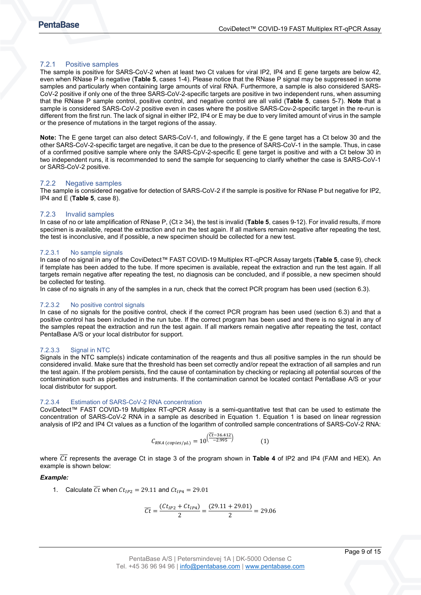#### <span id="page-8-0"></span>7.2.1 Positive samples

The sample is positive for SARS-CoV-2 when at least two Ct values for viral IP2, IP4 and E gene targets are below 42, even when RNase P is negative (**[Table 5](#page-7-0)**, cases 1-4). Please notice that the RNase P signal may be suppressed in some samples and particularly when containing large amounts of viral RNA. Furthermore, a sample is also considered SARS-CoV-2 positive if only one of the three SARS-CoV-2-specific targets are positive in two independent runs, when assuming that the RNase P sample control, positive control, and negative control are all valid (**[Table 5](#page-7-0)**, cases 5-7). **Note** that a sample is considered SARS-CoV-2 positive even in cases where the positive SARS-Cov-2-specific target in the re-run is different from the first run. The lack of signal in either IP2, IP4 or E may be due to very limited amount of virus in the sample or the presence of mutations in the target regions of the assay.

**Note:** The E gene target can also detect SARS-CoV-1, and followingly, if the E gene target has a Ct below 30 and the other SARS-CoV-2-specific target are negative, it can be due to the presence of SARS-CoV-1 in the sample. Thus, in case of a confirmed positive sample where only the SARS-CpV-2-specific E gene target is positive and with a Ct below 30 in two independent runs, it is recommended to send the sample for sequencing to clarify whether the case is SARS-CoV-1 or SARS-CoV-2 positive.

#### <span id="page-8-1"></span>7.2.2 Negative samples

The sample is considered negative for detection of SARS-CoV-2 if the sample is positive for RNase P but negative for IP2, IP4 and E (**[Table 5](#page-7-0)**, case 8).

#### <span id="page-8-2"></span>7.2.3 Invalid samples

In case of no or late amplification of RNase P, (Ct ≥ 34), the test is invalid (**[Table 5](#page-7-0)**, cases 9-12). For invalid results, if more specimen is available, repeat the extraction and run the test again. If all markers remain negative after repeating the test, the test is inconclusive, and if possible, a new specimen should be collected for a new test.

#### 7.2.3.1 No sample signals

In case of no signal in any of the CoviDetect™ FAST COVID-19 Multiplex RT-qPCR Assay targets (**[Table 5](#page-7-0)**, case 9), check if template has been added to the tube. If more specimen is available, repeat the extraction and run the test again. If all targets remain negative after repeating the test, no diagnosis can be concluded, and if possible, a new specimen should be collected for testing.

In case of no signals in any of the samples in a run, check that the correct PCR program has been used (section [6.3\)](#page-6-0).

#### 7.2.3.2 No positive control signals

In case of no signals for the positive control, check if the correct PCR program has been used (section [6.3\)](#page-6-0) and that a positive control has been included in the run tube. If the correct program has been used and there is no signal in any of the samples repeat the extraction and run the test again. If all markers remain negative after repeating the test, contact PentaBase A/S or your local distributor for support.

#### 7.2.3.3 Signal in NTC

Signals in the NTC sample(s) indicate contamination of the reagents and thus all positive samples in the run should be considered invalid. Make sure that the threshold has been set correctly and/or repeat the extraction of all samples and run the test again. If the problem persists, find the cause of contamination by checking or replacing all potential sources of the contamination such as pipettes and instruments. If the contamination cannot be located contact PentaBase A/S or your local distributor for support.

#### 7.2.3.4 Estimation of SARS-CoV-2 RNA concentration

CoviDetect™ FAST COVID-19 Multiplex RT-qPCR Assay is a semi-quantitative test that can be used to estimate the concentration of SARS-CoV-2 RNA in a sample as described in Equation 1. Equation 1 is based on linear regression analysis of IP2 and IP4 Ct values as a function of the logarithm of controlled sample concentrations of SARS-CoV-2 RNA:

$$
C_{RNA\,(copies/\mu L)} = 10^{\left(\overline{C}t - 36.412\right)} \tag{1}
$$

where Ct represents the average Ct in stage 3 of the program shown in Table 4 of IP2 and IP4 (FAM and HEX). An example is shown below:

#### *Example:*

1. Calculate  $\overline{Ct}$  when  $Ct_{IP2} = 29.11$  and  $Ct_{IP4} = 29.01$ 

$$
\overline{Ct} = \frac{(Ct_{IP2} + Ct_{IP4})}{2} = \frac{(29.11 + 29.01)}{2} = 29.06
$$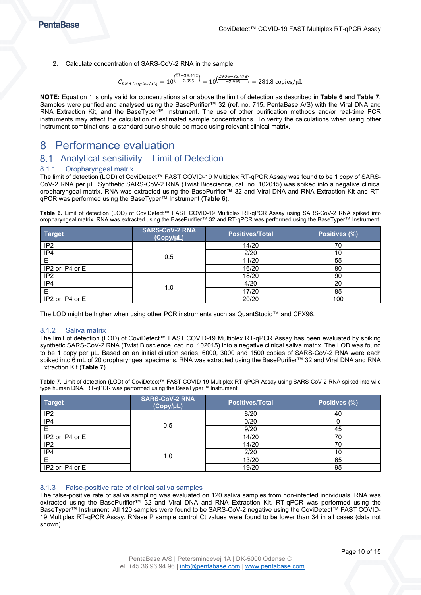2. Calculate concentration of SARS-CoV-2 RNA in the sample

$$
C_{RNA\ (copies/\mu L)} = 10^{\left(\frac{\overline{C}t - 36.412}{-2.995}\right)} = 10^{\left(\frac{29.06 - 33.478}{-2.995}\right)} = 281.8 \text{ copies/}\mu\text{L}
$$

**NOTE:** Equation 1 is only valid for concentrations at or above the limit of detection as described in **[Table 6](#page-9-5)** and **[Table](#page-9-6) 7**. Samples were purified and analysed using the BasePurifier™ 32 (ref. no. 715, PentaBase A/S) with the Viral DNA and RNA Extraction Kit, and the BaseTyper™ Instrument. The use of other purification methods and/or real-time PCR instruments may affect the calculation of estimated sample concentrations. To verify the calculations when using other instrument combinations, a standard curve should be made using relevant clinical matrix.

## <span id="page-9-0"></span>8 Performance evaluation

## <span id="page-9-1"></span>8.1 Analytical sensitivity – Limit of Detection

#### <span id="page-9-2"></span>8.1.1 Oropharyngeal matrix

The limit of detection (LOD) of CoviDetect™ FAST COVID-19 Multiplex RT-qPCR Assay was found to be 1 copy of SARS-CoV-2 RNA per µL. Synthetic SARS-CoV-2 RNA (Twist Bioscience, cat. no. 102015) was spiked into a negative clinical oropharyngeal matrix. RNA was extracted using the BasePurifier™ 32 and Viral DNA and RNA Extraction Kit and RTqPCR was performed using the BaseTyper™ Instrument (**[Table 6](#page-9-5)**).

<span id="page-9-5"></span>**Table 6.** Limit of detection (LOD) of CoviDetect™ FAST COVID-19 Multiplex RT-qPCR Assay using SARS-CoV-2 RNA spiked into oropharyngeal matrix. RNA was extracted using the BasePurifier™ 32 and RT-qPCR was performed using the BaseTyper™ Instrument.

| <b>Target</b>   | <b>SARS-CoV-2 RNA</b><br>(Copy/µL) | <b>Positives/Total</b> | Positives (%) |
|-----------------|------------------------------------|------------------------|---------------|
| IP <sub>2</sub> |                                    | 14/20                  | 70            |
| IP4             | 0.5                                | 2/20                   | 10            |
|                 |                                    | 11/20                  | 55            |
| IP2 or IP4 or E |                                    | 16/20                  | 80            |
| IP <sub>2</sub> |                                    | 18/20                  | 90            |
| IP4             |                                    | 4/20                   | 20            |
|                 | 1.0                                | 17/20                  | 85            |
| IP2 or IP4 or E |                                    | 20/20                  | 100           |

The LOD might be higher when using other PCR instruments such as QuantStudio™ and CFX96.

#### <span id="page-9-3"></span>8.1.2 Saliva matrix

The limit of detection (LOD) of CoviDetect™ FAST COVID-19 Multiplex RT-qPCR Assay has been evaluated by spiking synthetic SARS-CoV-2 RNA (Twist Bioscience, cat. no. 102015) into a negative clinical saliva matrix. The LOD was found to be 1 copy per µL. Based on an initial dilution series, 6000, 3000 and 1500 copies of SARS-CoV-2 RNA were each spiked into 6 mL of 20 oropharyngeal specimens. RNA was extracted using the BasePurifier™ 32 and Viral DNA and RNA Extraction Kit (**[Table](#page-9-6) 7**).

<span id="page-9-6"></span>**Table 7.** Limit of detection (LOD) of CoviDetect™ FAST COVID-19 Multiplex RT-qPCR Assay using SARS-CoV-2 RNA spiked into wild type human DNA. RT-qPCR was performed using the BaseTyper™ Instrument.

| <b>Target</b>   | <b>SARS-CoV-2 RNA</b><br>$(Copy/\mu L)$ | <b>Positives/Total</b> | Positives (%) |
|-----------------|-----------------------------------------|------------------------|---------------|
| IP <sub>2</sub> |                                         | 8/20                   | 40            |
| IP4             | 0.5                                     | 0/20                   |               |
|                 |                                         | 9/20                   | 45            |
| IP2 or IP4 or E |                                         | 14/20                  | 70            |
| IP <sub>2</sub> |                                         | 14/20                  | 70            |
| IP4             | 1.0                                     | 2/20                   | 10            |
| F               |                                         | 13/20                  | 65            |
| IP2 or IP4 or E |                                         | 19/20                  | 95            |

#### <span id="page-9-4"></span>8.1.3 False-positive rate of clinical saliva samples

The false-positive rate of saliva sampling was evaluated on 120 saliva samples from non-infected individuals. RNA was extracted using the BasePurifier™ 32 and Viral DNA and RNA Extraction Kit. RT-qPCR was performed using the BaseTyper™ Instrument. All 120 samples were found to be SARS-CoV-2 negative using the CoviDetect™ FAST COVID-19 Multiplex RT-qPCR Assay. RNase P sample control Ct values were found to be lower than 34 in all cases (data not shown).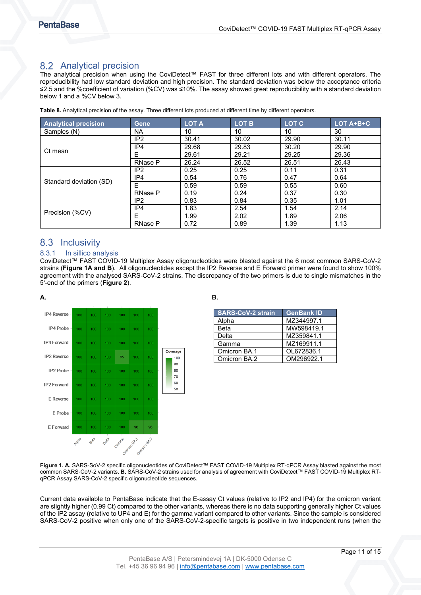## <span id="page-10-0"></span>8.2 Analytical precision

The analytical precision when using the CoviDetect™ FAST for three different lots and with different operators. The reproducibility had low standard deviation and high precision. The standard deviation was below the acceptance criteria ≤2.5 and the %coefficient of variation (%CV) was ≤10%. The assay showed great reproducibility with a standard deviation below 1 and a %CV below 3.

| <b>Analytical precision</b> | Gene            | <b>LOT A</b> | <b>LOT B</b> | <b>LOT C</b> | LOT A+B+C |
|-----------------------------|-----------------|--------------|--------------|--------------|-----------|
| Samples (N)                 | <b>NA</b>       | 10           | 10           | 10           | 30        |
|                             | IP <sub>2</sub> | 30.41        | 30.02        | 29.90        | 30.11     |
| Ct mean                     | IP4             | 29.68        | 29.83        | 30.20        | 29.90     |
|                             | F               | 29.61        | 29.21        | 29.25        | 29.36     |
|                             | <b>RNase P</b>  | 26.24        | 26.52        | 26.51        | 26.43     |
|                             | IP <sub>2</sub> | 0.25         | 0.25         | 0.11         | 0.31      |
|                             | IP4             | 0.54         | 0.76         | 0.47         | 0.64      |
| Standard deviation (SD)     | E               | 0.59         | 0.59         | 0.55         | 0.60      |
|                             | <b>RNase P</b>  | 0.19         | 0.24         | 0.37         | 0.30      |
|                             | IP <sub>2</sub> | 0.83         | 0.84         | 0.35         | 1.01      |
|                             | IP4             | 1.83         | 2.54         | 1.54         | 2.14      |
| Precision (%CV)             | F               | 1.99         | 2.02         | 1.89         | 2.06      |
|                             | <b>RNase P</b>  | 0.72         | 0.89         | 1.39         | 1.13      |

**Table 8.** Analytical precision of the assay. Three different lots produced at different time by different operators.

## <span id="page-10-1"></span>8.3 Inclusivity

#### <span id="page-10-2"></span>8.3.1 In sillico analysis

CoviDetect™ FAST COVID-19 Multiplex Assay oligonucleotides were blasted against the 6 most common SARS-CoV-2 strains (**[Figure 1A](#page-10-3) and B**). All oligonucleotides except the IP2 Reverse and E Forward primer were found to show 100% agreement with the analysed SARS-CoV-2 strains. The discrepancy of the two primers is due to single mismatches in the 5'-end of the primers (**[Figure](#page-11-2) 2**).



<span id="page-10-3"></span>

| <b>SARS-CoV-2 strain</b> | <b>GenBank ID</b> |
|--------------------------|-------------------|
| Alpha                    | MZ344997.1        |
| <b>Beta</b>              | MW598419.1        |
| Delta                    | MZ359841.1        |
| Gamma                    | MZ169911.1        |
| Omicron BA.1             | OL672836.1        |
| Omicron BA.2             | OM296922.1        |

**Figure 1. A.** SARS-SoV-2 specific oligonucleotides of CoviDetect™ FAST COVID-19 Multiplex RT-qPCR Assay blasted against the most common SARS-CoV-2 variants. **B.** SARS-CoV-2 strains used for analysis of agreement with CoviDetect™ FAST COVID-19 Multiplex RTqPCR Assay SARS-CoV-2 specific oligonucleotide sequences.

Current data available to PentaBase indicate that the E-assay Ct values (relative to IP2 and IP4) for the omicron variant are slightly higher (0.99 Ct) compared to the other variants, whereas there is no data supporting generally higher Ct values of the IP2 assay (relative to UP4 and E) for the gamma variant compared to other variants. Since the sample is considered SARS-CoV-2 positive when only one of the SARS-CoV-2-specific targets is positive in two independent runs (when the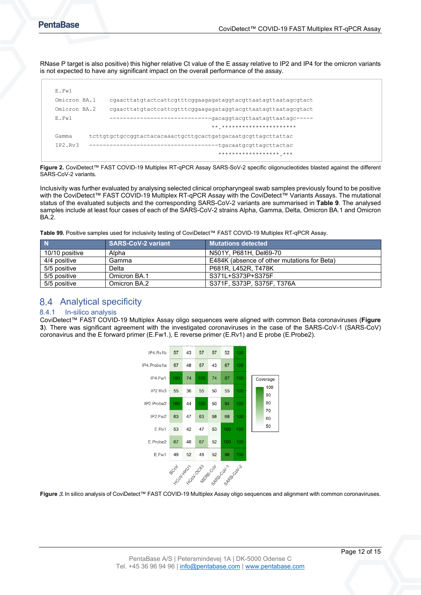RNase P target is also positive) this higher relative Ct value of the E assay relative to IP2 and IP4 for the omicron variants is not expected to have any significant impact on the overall performance of the assay.

| F.Fw1        |                                                                 |
|--------------|-----------------------------------------------------------------|
| Omicron BA.1 | cqaacttatqtactcattcqtttcqqaaqaqataqqtacqttaataqttaataqcqtact    |
| Omicron BA.2 | cqaacttatqtactcattcqtttcqqaaqaqataqqtacqttaataqttaataqcqtact    |
| F.Fw1        | --gacaggtacgttaatagttaatagc-----<br>--------------------------- |
|              | ** **********************                                       |
| Gamma        | tcttqtqctqccqqtactacacaaactqcttqcactqatqacaatqcqttaqcttattac    |
| TP2.Rv3      | -tgacaatgcgttagcttactac                                         |
|              | ****************** ***                                          |
|              |                                                                 |

<span id="page-11-2"></span>**Figure 2.** CoviDetect™ FAST COVID-19 Multiplex RT-qPCR Assay SARS-SoV-2 specific oligonucleotides blasted against the different SARS-CoV-2 variants.

Inclusivity was further evaluated by analysing selected clinical oropharyngeal swab samples previously found to be positive with the CoviDetect™ FAST COVID-19 Multiplex RT-qPCR Assay with the CoviDetect™ Variants Assays. The mutational status of the evaluated subjects and the corresponding SARS-CoV-2 variants are summarised in **[Table 9](#page-11-3)**. The analysed samples include at least four cases of each of the SARS-CoV-2 strains Alpha, Gamma, Delta, Omicron BA.1 and Omicron BA.2.

<span id="page-11-3"></span>**Table 99.** Positive samples used for inclusivity testing of CoviDetect™ FAST COVID-19 Multiplex RT-qPCR Assay.

|                | <b>SARS-CoV-2 variant</b> | <b>Mutations detected</b> ا                 |
|----------------|---------------------------|---------------------------------------------|
| 10/10 positive | Alpha                     | N501Y, P681H, Del69-70                      |
| 4/4 positive   | Gamma                     | E484K (absence of other mutations for Beta) |
| 5/5 positive   | Delta                     | P681R, L452R, T478K                         |
| 5/5 positive   | Omicron BA.1              | S371L+S373P+S375F                           |
| 5/5 positive   | Omicron BA.2              | S371F. S373P. S375F. T376A                  |

## <span id="page-11-0"></span>8.4 Analytical specificity

#### <span id="page-11-1"></span>8.4.1 In-silico analysis

CoviDetect™ FAST COVID-19 Multiplex Assay oligo sequences were aligned with common Beta coronaviruses (**[Figure](#page-11-4)  [3](#page-11-4)**). There was significant agreement with the investigated coronaviruses in the case of the SARS-CoV-1 (SARS-CoV) coronavirus and the E forward primer (E.Fw1.), E reverse primer (E.Rv1) and E probe (E.Probe2).



<span id="page-11-5"></span><span id="page-11-4"></span>**Figure** 3**.** In silico analysis of CoviDetect™ FAST COVID-19 Multiplex Assay oligo sequences and alignment with common coronaviruses.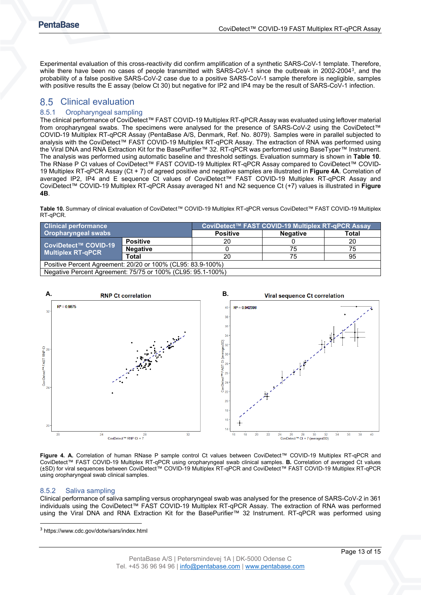Experimental evaluation of this cross-reactivity did confirm amplification of a synthetic SARS-CoV-1 template. Therefore, while there have been no cases of people transmitted with SARS-CoV-1 since the outbreak in 2002-2004<sup>[3](#page-11-5)</sup>, and the probability of a false positive SARS-CoV-2 case due to a positive SARS-CoV-1 sample therefore is negligible, samples with positive results the E assay (below Ct 30) but negative for IP2 and IP4 may be the result of SARS-CoV-1 infection.

## <span id="page-12-0"></span>8.5 Clinical evaluation

#### <span id="page-12-1"></span>8.5.1 Oropharyngeal sampling

The clinical performance of CoviDetect™ FAST COVID-19 Multiplex RT-qPCR Assay was evaluated using leftover material from oropharyngeal swabs. The specimens were analysed for the presence of SARS-CoV-2 using the CoviDetect™ COVID-19 Multiplex RT-qPCR Assay (PentaBase A/S, Denmark, Ref. No. 8079). Samples were in parallel subjected to analysis with the CoviDetect™ FAST COVID-19 Multiplex RT-qPCR Assay. The extraction of RNA was performed using the Viral DNA and RNA Extraction Kit for the BasePurifier™ 32. RT-qPCR was performed using BaseTyper™ Instrument. The analysis was performed using automatic baseline and threshold settings. Evaluation summary is shown in **[Table 10](#page-12-3)**. The RNase P Ct values of CoviDetect™ FAST COVID-19 Multiplex RT-qPCR Assay compared to CoviDetect™ COVID-19 Multiplex RT-qPCR Assay (Ct + 7) of agreed positive and negative samples are illustrated in **[Figure 4A](#page-12-4)**. Correlation of averaged IP2, IP4 and E sequence Ct values of CoviDetect™ FAST COVID-19 Multiplex RT-qPCR Assay and CoviDetect™ COVID-19 Multiplex RT-qPCR Assay averaged N1 and N2 sequence Ct (+7) values is illustrated in **[Figure](#page-12-4)  [4B](#page-12-4)**.

<span id="page-12-3"></span>**Table 10.** Summary of clinical evaluation of CoviDetect™ COVID-19 Multiplex RT-qPCR versus CoviDetect™ FAST COVID-19 Multiplex RT-qPCR.

| <b>Clinical performance</b>                                 |                 | CoviDetect™ FAST COVID-19 Multiplex RT-qPCR Assay |                 |       |  |  |
|-------------------------------------------------------------|-----------------|---------------------------------------------------|-----------------|-------|--|--|
| <b>Oropharyngeal swabs</b>                                  |                 | <b>Positive</b>                                   | <b>Negative</b> | Total |  |  |
| CoviDetect™ COVID-19<br><b>Multiplex RT-qPCR</b>            | <b>Positive</b> | 20                                                |                 | 20    |  |  |
|                                                             | <b>Negative</b> |                                                   | 75              | 75    |  |  |
|                                                             | Total           | 20                                                | 75              | 95    |  |  |
| Positive Percent Agreement: 20/20 or 100% (CL95: 83.9-100%) |                 |                                                   |                 |       |  |  |
| Negative Percent Agreement: 75/75 or 100% (CL95: 95.1-100%) |                 |                                                   |                 |       |  |  |



<span id="page-12-4"></span>**Figure 4. A.** Correlation of human RNase P sample control Ct values between CoviDetect™ COVID-19 Multiplex RT-qPCR and CoviDetect™ FAST COVID-19 Multiplex RT-qPCR using oropharyngeal swab clinical samples. **B.** Correlation of averaged Ct values (±SD) for viral sequences between CoviDetect™ COVID-19 Multiplex RT-qPCR and CoviDetect™ FAST COVID-19 Multiplex RT-qPCR using oropharyngeal swab clinical samples.

#### <span id="page-12-2"></span>8.5.2 Saliva sampling

Clinical performance of saliva sampling versus oropharyngeal swab was analysed for the presence of SARS-CoV-2 in 361 individuals using the CoviDetect™ FAST COVID-19 Multiplex RT-qPCR Assay. The extraction of RNA was performed using the Viral DNA and RNA Extraction Kit for the BasePurifier™ 32 Instrument. RT-qPCR was performed using

<sup>3</sup> https://www.cdc.gov/dotw/sars/index.html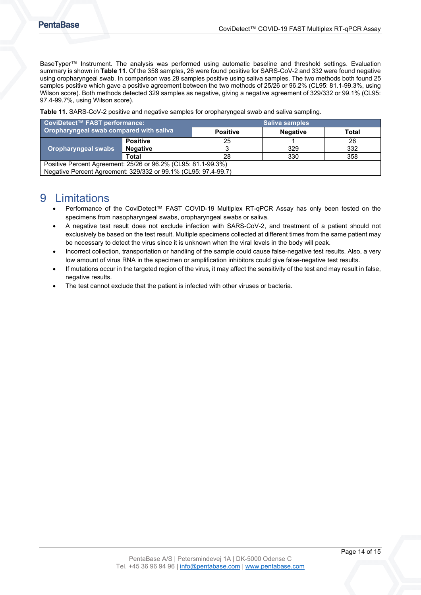BaseTyper™ Instrument. The analysis was performed using automatic baseline and threshold settings. Evaluation summary is shown in **[Table 11](#page-13-1)**. Of the 358 samples, 26 were found positive for SARS-CoV-2 and 332 were found negative using oropharyngeal swab. In comparison was 28 samples positive using saliva samples. The two methods both found 25 samples positive which gave a positive agreement between the two methods of 25/26 or 96.2% (CL95: 81.1-99.3%, using Wilson score). Both methods detected 329 samples as negative, giving a negative agreement of 329/332 or 99.1% (CL95: 97.4-99.7%, using Wilson score).

<span id="page-13-1"></span>**Table 11.** SARS-CoV-2 positive and negative samples for oropharyngeal swab and saliva sampling.

| CoviDetect™ FAST performance:                                  |                 | <b>Saliva samples</b> |                 |              |  |  |
|----------------------------------------------------------------|-----------------|-----------------------|-----------------|--------------|--|--|
| Oropharyngeal swab compared with saliva                        |                 | <b>Positive</b>       | <b>Negative</b> | <b>Total</b> |  |  |
| Oropharyngeal swabs                                            | <b>Positive</b> | 25                    |                 | 26           |  |  |
|                                                                | <b>Negative</b> |                       | 329             | 332          |  |  |
|                                                                | <b>Total</b>    | 28                    | 330             | 358          |  |  |
| Positive Percent Agreement: 25/26 or 96.2% (CL95: 81.1-99.3%)  |                 |                       |                 |              |  |  |
| Negative Percent Agreement: 329/332 or 99.1% (CL95: 97.4-99.7) |                 |                       |                 |              |  |  |

## <span id="page-13-0"></span>9 Limitations

- Performance of the CoviDetect™ FAST COVID-19 Multiplex RT-qPCR Assay has only been tested on the specimens from nasopharyngeal swabs, oropharyngeal swabs or saliva.
- A negative test result does not exclude infection with SARS-CoV-2, and treatment of a patient should not exclusively be based on the test result. Multiple specimens collected at different times from the same patient may be necessary to detect the virus since it is unknown when the viral levels in the body will peak.
- Incorrect collection, transportation or handling of the sample could cause false-negative test results. Also, a very low amount of virus RNA in the specimen or amplification inhibitors could give false-negative test results.
- If mutations occur in the targeted region of the virus, it may affect the sensitivity of the test and may result in false, negative results.
- The test cannot exclude that the patient is infected with other viruses or bacteria.